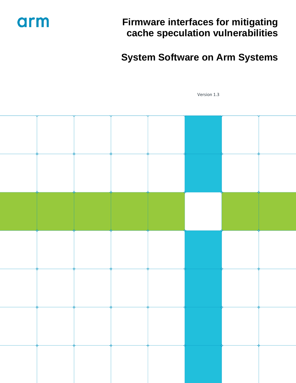

## **Firmware interfaces for mitigating cache speculation vulnerabilities**

## **System Software on Arm Systems**

Version 1.3

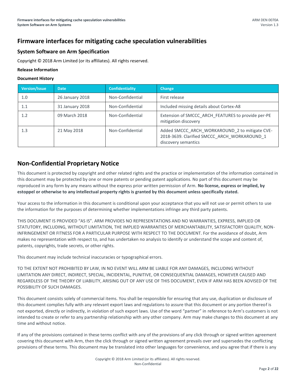## **Firmware interfaces for mitigating cache speculation vulnerabilities**

#### **System Software on Arm Specification**

Copyright © 2018 Arm Limited (or its affiliates). All rights reserved.

#### **Release Information**

#### **Document History**

| <b>Version/Issue</b> | <b>Date</b>     | <b>Confidentiality</b> | <b>Change</b>                                                                                                         |
|----------------------|-----------------|------------------------|-----------------------------------------------------------------------------------------------------------------------|
| 1.0                  | 26 January 2018 | Non-Confidential       | First release                                                                                                         |
| 1.1                  | 31 January 2018 | Non-Confidential       | Included missing details about Cortex-A8                                                                              |
| 1.2                  | 09 March 2018   | Non-Confidential       | Extension of SMCCC ARCH FEATURES to provide per-PE<br>mitigation discovery                                            |
| 1.3                  | 21 May 2018     | Non-Confidential       | Added SMCCC ARCH WORKAROUND 2 to mitigate CVE-<br>2018-3639. Clarified SMCCC ARCH WORKAROUND 1<br>discovery semantics |

## **Non-Confidential Proprietary Notice**

This document is protected by copyright and other related rights and the practice or implementation of the information contained in this document may be protected by one or more patents or pending patent applications. No part of this document may be reproduced in any form by any means without the express prior written permission of Arm. **No license, express or implied, by estoppel or otherwise to any intellectual property rights is granted by this document unless specifically stated.**

Your access to the information in this document is conditional upon your acceptance that you will not use or permit others to use the information for the purposes of determining whether implementations infringe any third party patents.

THIS DOCUMENT IS PROVIDED "AS IS". ARM PROVIDES NO REPRESENTATIONS AND NO WARRANTIES, EXPRESS, IMPLIED OR STATUTORY, INCLUDING, WITHOUT LIMITATION, THE IMPLIED WARRANTIES OF MERCHANTABILITY, SATISFACTORY QUALITY, NON-INFRINGEMENT OR FITNESS FOR A PARTICULAR PURPOSE WITH RESPECT TO THE DOCUMENT. For the avoidance of doubt, Arm makes no representation with respect to, and has undertaken no analysis to identify or understand the scope and content of, patents, copyrights, trade secrets, or other rights.

This document may include technical inaccuracies or typographical errors.

TO THE EXTENT NOT PROHIBITED BY LAW, IN NO EVENT WILL ARM BE LIABLE FOR ANY DAMAGES, INCLUDING WITHOUT LIMITATION ANY DIRECT, INDIRECT, SPECIAL, INCIDENTAL, PUNITIVE, OR CONSEQUENTIAL DAMAGES, HOWEVER CAUSED AND REGARDLESS OF THE THEORY OF LIABILITY, ARISING OUT OF ANY USE OF THIS DOCUMENT, EVEN IF ARM HAS BEEN ADVISED OF THE POSSIBILITY OF SUCH DAMAGES.

This document consists solely of commercial items. You shall be responsible for ensuring that any use, duplication or disclosure of this document complies fully with any relevant export laws and regulations to assure that this document or any portion thereof is not exported, directly or indirectly, in violation of such export laws. Use of the word "partner" in reference to Arm's customers is not intended to create or refer to any partnership relationship with any other company. Arm may make changes to this document at any time and without notice.

If any of the provisions contained in these terms conflict with any of the provisions of any click through or signed written agreement covering this document with Arm, then the click through or signed written agreement prevails over and supersedes the conflicting provisions of these terms. This document may be translated into other languages for convenience, and you agree that if there is any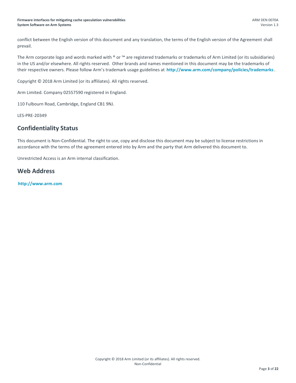#### **Firmware interfaces for mitigating cache speculation vulnerabilities System Software on Arm Systems**

conflict between the English version of this document and any translation, the terms of the English version of the Agreement shall prevail.

The Arm corporate logo and words marked with  $\degree$  or  $\degree$  are registered trademarks or trademarks of Arm Limited (or its subsidiaries) in the US and/or elsewhere. All rights reserved. Other brands and names mentioned in this document may be the trademarks of their respective owners. Please follow Arm's trademark usage guidelines at **<http://www.arm.com/company/policies/trademarks>** 3

Copyright © 2018 Arm Limited (or its affiliates). All rights reserved.

Arm Limited. Company 02557590 registered in England.

110 Fulbourn Road, Cambridge, England CB1 9NJ.

LES-PRE-20349

### **Confidentiality Status**

This document is Non-Confidential. The right to use, copy and disclose this document may be subject to license restrictions in accordance with the terms of the agreement entered into by Arm and the party that Arm delivered this document to.

Unrestricted Access is an Arm internal classification.

### **Web Address**

33T**[http://www.arm.com](http://www.arm.com/)**33T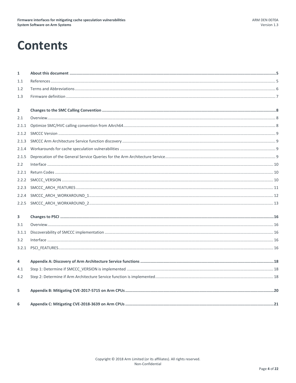## **Contents**

| $\mathbf{1}$   |  |
|----------------|--|
| 1.1            |  |
| 1.2            |  |
| 1.3            |  |
| $\overline{2}$ |  |
| 2.1            |  |
| 2.1.1          |  |
| 2.1.2          |  |
| 2.1.3          |  |
| 2.1.4          |  |
| 2.1.5          |  |
| 2.2            |  |
| 2.2.1          |  |
| 2.2.2          |  |
| 2.2.3          |  |
| 2.2.4          |  |
| 2.2.5          |  |
| 3              |  |
| 3.1            |  |
| 3.1.1          |  |
| 3.2            |  |
| 3.2.1          |  |
| 4              |  |
| 4.1            |  |
| 4.2            |  |
| 5              |  |
| 6              |  |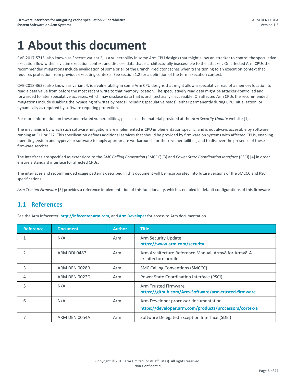## <span id="page-4-0"></span>**1 About this document**

CVE-2017-5715, also known as Spectre variant 2, is a vulnerability in some Arm CPU designs that might allow an attacker to control the speculative execution flow within a victim execution context and disclose data that is architecturally inaccessible to the attacker. On affected Arm CPUs the recommended mitigations include invalidation of some or all of the Branch Predictor caches when transitioning to an execution context that requires protection from previous executing contexts. See sectio[n 1.2](#page-5-0) for a definition of the term execution context.

CVE-2018-3639, also known as variant 4, is a vulnerability in some Arm CPU designs that might allow a speculative read of a memory location to read a data value from before the most recent write to that memory location. The speculatively read data might be attacker-controlled and forwarded to later speculative accesses, which may disclose data that is architecturally inaccessible. On affected Arm CPUs the recommended mitigations include disabling the bypassing of writes by reads (including speculative reads), either permanently during CPU initialization, or dynamically as required by software requiring protection.

For more information on these and related vulnerabilities, please see the material provided at the *Arm Security Update* website [1].

The mechanism by which such software mitigations are implemented is CPU implementation specific, and is not always accessible by software running at EL1 or EL2. This specification defines additional services that should be provided by firmware on systems with affected CPUs, enabling operating system and hypervisor software to apply appropriate workarounds for these vulnerabilities, and to discover the presence of these firmware services.

The interfaces are specified as extensions to the *SMC Calling Convention* (SMCCC) [3] and *Power State Coordination Interface* (PSCI) [4] in order ensure a standard interface for affected CPUs.

The interfaces and recommended usage patterns described in this document will be incorporated into future versions of the SMCCC and PSCI specifications.

*Arm Trusted Firmware* [5] provides a reference implementation of this functionality, which is enabled in default configurations of this firmware

## <span id="page-4-1"></span>**1.1 References**

See the Arm Infocenter, **[http://infocenter.arm.com](http://infocenter.arm.com/)**, and **[Arm Developer](http://developer.arm.com/)** for access to Arm documentation.

| <b>Reference</b> | <b>Document</b> | <b>Author</b> | <b>Title</b>                                                                                    |
|------------------|-----------------|---------------|-------------------------------------------------------------------------------------------------|
|                  | N/A             | Arm           | Arm Security Update<br>https://www.arm.com/security                                             |
| 2                | ARM DDI 0487    | Arm           | Arm Architecture Reference Manual, Army8 for Army8-A<br>architecture profile                    |
| 3                | ARM DEN 0028B   | Arm           | <b>SMC Calling Conventions (SMCCC)</b>                                                          |
| 4                | ARM DEN 0022D   | Arm           | Power State Coordination Interface (PSCI)                                                       |
| 5                | N/A             |               | Arm Trusted Firmware<br>https://github.com/Arm-Software/arm-trusted-firmware                    |
| 6                | N/A             | Arm           | Arm Developer processor documentation<br>https://developer.arm.com/products/processors/cortex-a |
|                  | ARM DEN 0054A   | Arm           | Software Delegated Exception Interface (SDEI)                                                   |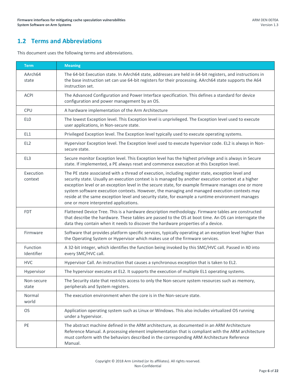## <span id="page-5-0"></span>**1.2 Terms and Abbreviations**

This document uses the following terms and abbreviations.

| <b>Term</b>            | <b>Meaning</b>                                                                                                                                                                                                                                                                                                                                                                                                                                                                                                                                               |
|------------------------|--------------------------------------------------------------------------------------------------------------------------------------------------------------------------------------------------------------------------------------------------------------------------------------------------------------------------------------------------------------------------------------------------------------------------------------------------------------------------------------------------------------------------------------------------------------|
| AArch64<br>state       | The 64-bit Execution state. In AArch64 state, addresses are held in 64-bit registers, and instructions in<br>the base instruction set can use 64-bit registers for their processing. AArch64 state supports the A64<br>instruction set.                                                                                                                                                                                                                                                                                                                      |
| <b>ACPI</b>            | The Advanced Configuration and Power Interface specification. This defines a standard for device<br>configuration and power management by an OS.                                                                                                                                                                                                                                                                                                                                                                                                             |
| <b>CPU</b>             | A hardware implementation of the Arm Architecture                                                                                                                                                                                                                                                                                                                                                                                                                                                                                                            |
| EL <sub>0</sub>        | The lowest Exception level. This Exception level is unprivileged. The Exception level used to execute<br>user applications, in Non-secure state.                                                                                                                                                                                                                                                                                                                                                                                                             |
| EL1                    | Privileged Exception level. The Exception level typically used to execute operating systems.                                                                                                                                                                                                                                                                                                                                                                                                                                                                 |
| EL <sub>2</sub>        | Hypervisor Exception level. The Exception level used to execute hypervisor code. EL2 is always in Non-<br>secure state.                                                                                                                                                                                                                                                                                                                                                                                                                                      |
| EL3                    | Secure monitor Exception level. This Exception level has the highest privilege and is always in Secure<br>state. If implemented, a PE always reset and commence execution at this Exception level.                                                                                                                                                                                                                                                                                                                                                           |
| Execution<br>context   | The PE state associated with a thread of execution, including register state, exception level and<br>security state. Usually an execution context is is managed by another execution context at a higher<br>exception level or an exception level in the secure state, for example firmware manages one or more<br>system software execution contexts. However, the managing and managed execution contexts may<br>reside at the same exception level and security state, for example a runtime environment manages<br>one or more interpreted applications. |
| <b>FDT</b>             | Flattened Device Tree. This is a hardware description methodology. Firmware tables are constructed<br>that describe the hardware. These tables are passed to the OS at boot time. An OS can interrogate the<br>data they contain when it needs to discover the hardware properties of a device.                                                                                                                                                                                                                                                              |
| Firmware               | Software that provides platform specific services, typically operating at an exception level higher than<br>the Operating System or Hypervisor which makes use of the firmware services.                                                                                                                                                                                                                                                                                                                                                                     |
| Function<br>Identifier | A 32-bit integer, which identifies the function being invoked by this SMC/HVC call. Passed in X0 into<br>every SMC/HVC call.                                                                                                                                                                                                                                                                                                                                                                                                                                 |
| <b>HVC</b>             | Hypervisor Call. An instruction that causes a synchronous exception that is taken to EL2.                                                                                                                                                                                                                                                                                                                                                                                                                                                                    |
| Hypervisor             | The hypervisor executes at EL2. It supports the execution of multiple EL1 operating systems.                                                                                                                                                                                                                                                                                                                                                                                                                                                                 |
| Non-secure<br>state    | The Security state that restricts access to only the Non-secure system resources such as memory,<br>peripherals and System registers.                                                                                                                                                                                                                                                                                                                                                                                                                        |
| Normal<br>world        | The execution environment when the core is in the Non-secure state.                                                                                                                                                                                                                                                                                                                                                                                                                                                                                          |
| <b>OS</b>              | Application operating system such as Linux or Windows. This also includes virtualized OS running<br>under a hypervisor.                                                                                                                                                                                                                                                                                                                                                                                                                                      |
| PE                     | The abstract machine defined in the ARM architecture, as documented in an ARM Architecture<br>Reference Manual. A processing element implementation that is compliant with the ARM architecture<br>must conform with the behaviors described in the corresponding ARM Architecture Reference<br>Manual.                                                                                                                                                                                                                                                      |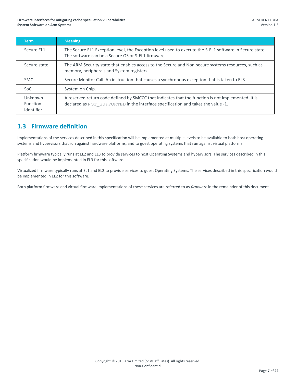#### **Firmware interfaces for mitigating cache speculation vulnerabilities System Software on Arm Systems**

| <b>Term</b>                              | <b>Meaning</b>                                                                                                                                                                         |
|------------------------------------------|----------------------------------------------------------------------------------------------------------------------------------------------------------------------------------------|
| Secure EL1                               | The Secure EL1 Exception level, the Exception level used to execute the S-EL1 software in Secure state.<br>The software can be a Secure OS or S-EL1 firmware.                          |
| Secure state                             | The ARM Security state that enables access to the Secure and Non-secure systems resources, such as<br>memory, peripherals and System registers.                                        |
| <b>SMC</b>                               | Secure Monitor Call. An instruction that causes a synchronous exception that is taken to EL3.                                                                                          |
| SoC.                                     | System on Chip.                                                                                                                                                                        |
| Unknown<br><b>Function</b><br>Identifier | A reserved return code defined by SMCCC that indicates that the function is not implemented. It is<br>declared as NOT SUPPORTED in the interface specification and takes the value -1. |

## <span id="page-6-0"></span>**1.3 Firmware definition**

Implementations of the services described in this specification will be implemented at multiple levels to be available to both host operating systems and hypervisors that run against hardware platforms, and to guest operating systems that run against virtual platforms.

Platform firmware typically runs at EL2 and EL3 to provide services to host Operating Systems and hypervisors. The services described in this specification would be implemented in EL3 for this software.

Virtualized firmware typically runs at EL1 and EL2 to provide services to guest Operating Systems. The services described in this specification would be implemented in EL2 for this software.

Both platform firmware and virtual firmware implementations of these services are referred to as *firmware* in the remainder of this document.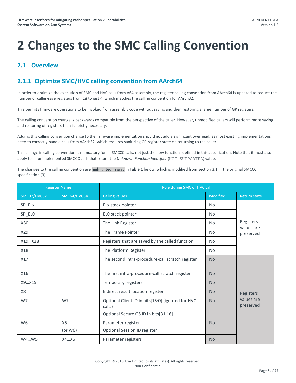## <span id="page-7-0"></span>**2 Changes to the SMC Calling Convention**

## <span id="page-7-1"></span>**2.1 Overview**

## <span id="page-7-2"></span>**2.1.1 Optimize SMC/HVC calling convention from AArch64**

In order to optimize the execution of SMC and HVC calls from A64 assembly, the register calling convention from AArch64 is updated to reduce the number of caller-save registers from 18 to just 4, which matches the calling convention for AArch32.

This permits firmware operations to be invoked from assembly code without saving and then restoring a large number of GP registers.

The calling convention change is backwards compatible from the perspective of the caller. However, unmodified callers will perform more saving and restoring of registers than is strictly necessary.

Adding this calling convention change to the firmware implementation should not add a significant overhead, as most existing implementations need to correctly handle calls from AArch32, which requires sanitizing GP register state on returning to the caller.

This change in calling convention is mandatory for all SMCCC calls, not just the new functions defined in this specification. Note that it must also apply to all unimplemented SMCCC calls that return the *Unknown Function Identifier* (NOT\_SUPPORTED) value.

The changes to the calling convention are highlighted in gray in **[Table 1](#page-8-4)** below, which is modified from section 3.1 in the original SMCCC specification [3].

| <b>Register Name</b> |                         | Role during SMC or HVC call                                                                         |           |                         |  |
|----------------------|-------------------------|-----------------------------------------------------------------------------------------------------|-----------|-------------------------|--|
| <b>SMC32/HVC32</b>   | SMC64/HVC64             | <b>Calling values</b>                                                                               | Modified  | <b>Return state</b>     |  |
| SP_ELx               |                         | ELx stack pointer                                                                                   | <b>No</b> |                         |  |
| SP_ELO               |                         | ELO stack pointer                                                                                   | <b>No</b> | Registers               |  |
| X30                  |                         | The Link Register                                                                                   | <b>No</b> |                         |  |
| X29                  |                         | The Frame Pointer                                                                                   | <b>No</b> | values are<br>preserved |  |
| X19X28               |                         | Registers that are saved by the called function                                                     | <b>No</b> |                         |  |
| X18                  |                         | The Platform Register                                                                               | <b>No</b> |                         |  |
| X17                  |                         | The second intra-procedure-call scratch register                                                    | <b>No</b> |                         |  |
| X16                  |                         | The first intra-procedure-call scratch register                                                     | <b>No</b> | Registers               |  |
| X9X15                |                         | Temporary registers                                                                                 | <b>No</b> |                         |  |
| X8                   |                         | Indirect result location register                                                                   | <b>No</b> |                         |  |
| W7                   | W7                      | Optional Client ID in bits[15:0] (ignored for HVC<br>calls)<br>Optional Secure OS ID in bits[31:16] | <b>No</b> | values are<br>preserved |  |
| W <sub>6</sub>       | <b>X6</b><br>(or $W6$ ) | Parameter register<br>Optional Session ID register                                                  | <b>No</b> |                         |  |
| X4X5<br>W4W5         |                         | Parameter registers                                                                                 | <b>No</b> |                         |  |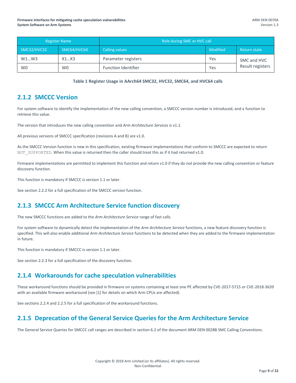| <b>Register Name</b> |                | Role during SMC or HVC call |          |                  |
|----------------------|----------------|-----------------------------|----------|------------------|
| SMC32/HVC32          | SMC64/HVC64    | <b>Calling values</b>       | Modified | Return state     |
| W1W3                 | X1X3           | Parameter registers         | Yes      | SMC and HVC      |
| W <sub>0</sub>       | W <sub>0</sub> | <b>Function Identifier</b>  | Yes      | Result registers |

#### **Table 1 Register Usage in AArch64 SMC32, HVC32, SMC64, and HVC64 calls**

### <span id="page-8-4"></span><span id="page-8-0"></span>**2.1.2 SMCCC Version**

For system software to identify the implementation of the new calling convention, a SMCCC version number is introduced, and a function to retrieve this value.

The version that introduces the new calling convention and *Arm Architecture Services* is v1.1.

All previous versions of SMCCC specification (revisions A and B) are v1.0.

As the SMCCC Version function is new in this specification, existing firmware implementations that conform to SMCCC are expected to return NOT SUPPORTED. When this value is returned then the caller should treat this as if it had returned v1.0.

Firmware implementations are permitted to implement this function and return v1.0 if they do not provide the new calling convention or feature discovery function.

This function is mandatory if SMCCC is version 1.1 or later.

See section [2.2.2](#page-9-2) for a full specification of the SMCCC version function.

## <span id="page-8-1"></span>**2.1.3 SMCCC Arm Architecture Service function discovery**

The new SMCCC functions are added to the *Arm Architecture Service* range of fast calls.

For system software to dynamically detect the implementation of the *Arm Architecture Service* functions, a new feature discovery function is specified. This will also enable additional *Arm Architecture Service* functions to be detected when they are added to the firmware implementation in future.

This function is mandatory if SMCCC is version 1.1 or later.

See sectio[n 2.2.3](#page-10-0) for a full specification of the discovery function.

## <span id="page-8-2"></span>**2.1.4 Workarounds for cache speculation vulnerabilities**

These workaround functions should be provided in firmware on systems containing at least one PE affected by CVE-2017-5715 or CVE-2018-3639 with an available firmware workaround (see [1] for details on which Arm CPUs are affected).

See sections [2.2.4](#page-11-0) an[d 2.2.5](#page-14-0) for a full specification of the workaround functions.

## <span id="page-8-3"></span>**2.1.5 Deprecation of the General Service Queries for the Arm Architecture Service**

The General Service Queries for SMCCC call ranges are described in section 6.2 of the document ARM DEN 0028B SMC Calling Conventions.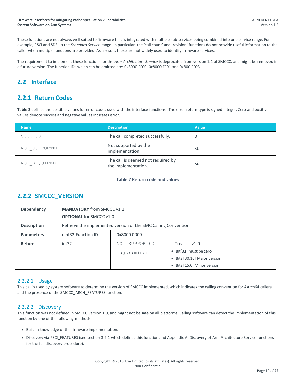These functions are not always well suited to firmware that is integrated with multiple sub-services being combined into one service range. For example, PSCI and SDEI in the *Standard Service* range. In particular, the 'call count' and 'revision' functions do not provide useful information to the caller when multiple functions are provided. As a result, these are not widely used to identify firmware services.

The requirement to implement these functions for the *Arm Architecture Service* is deprecated from version 1.1 of SMCCC, and might be removed in a future version. The function IDs which can be omitted are: 0x8000 FF00, 0x8000 FF01 and 0x800 FF03.

## <span id="page-9-0"></span>**2.2 Interface**

## <span id="page-9-1"></span>**2.2.1 Return Codes**

**[Table 2](#page-9-3)** defines the possible values for error codes used with the interface functions. The error return type is signed integer. Zero and positive values denote success and negative values indicates error.

| <b>Name</b>    | <b>Description</b>                                        | <b>Value</b> |
|----------------|-----------------------------------------------------------|--------------|
| <b>SUCCESS</b> | The call completed successfully.                          |              |
| NOT SUPPORTED  | Not supported by the<br>implementation.                   | -1           |
| NOT REQUIRED   | The call is deemed not required by<br>the implementation. | -2           |

#### **Table 2 Return code and values**

## <span id="page-9-3"></span><span id="page-9-2"></span>**2.2.2 SMCCC\_VERSION**

| <b>Dependency</b>  | <b>MANDATORY</b> from SMCCC v1.1<br><b>OPTIONAL for SMCCC v1.0</b> |                                                                |                              |  |
|--------------------|--------------------------------------------------------------------|----------------------------------------------------------------|------------------------------|--|
| <b>Description</b> |                                                                    | Retrieve the implemented version of the SMC Calling Convention |                              |  |
| <b>Parameters</b>  | uint32 Function ID                                                 | 0x8000 0000                                                    |                              |  |
| <b>Return</b>      | int32                                                              | NOT SUPPORTED                                                  | Treat as $v1.0$              |  |
|                    |                                                                    | major: minor                                                   | • Bit[31] must be zero       |  |
|                    |                                                                    |                                                                | • Bits [30:16] Major version |  |
|                    |                                                                    |                                                                | • Bits [15:0] Minor version  |  |

#### 2.2.2.1 Usage

This call is used by system software to determine the version of SMCCC implemented, which indicates the calling convention for AArch64 callers and the presence of the SMCCC\_ARCH\_FEATURES function.

#### 2.2.2.2 Discovery

This function was not defined in SMCCC version 1.0, and might not be safe on all platforms. Calling software can detect the implementation of this function by one of the following methods:

- Built-in knowledge of the firmware implementation.
- Discovery via PSCI\_FEATURES (see sectio[n 3.2.1](#page-16-4) which defines this function and [Appendix A: Discovery of Arm Architecture Service functions](#page-18-0) for the full discovery procedure).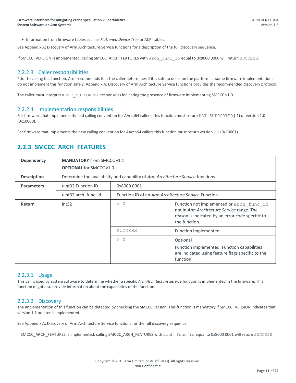Information from firmware tables such as *Flattened Device Tree* or ACPI tables.

See [Appendix A: Discovery of Arm Architecture Service functions](#page-18-0) for a description of the full discovery sequence.

If SMCCC\_VERSION is implemented, calling SMCCC\_ARCH\_FEATURES with arch\_func\_id equal to 0x8000 0000 will return SUCCESS.

#### 2.2.2.3 Caller responsibilities

Prior to calling this function, Arm recommends that the caller determines if it is safe to do so on the platform as some firmware implementations do not implement this function safely[. Appendix A: Discovery of Arm Architecture Service functions](#page-18-0) provides the recommended discovery protocol.

The caller must interpret a NOT\_SUPPORTED response as indicating the presence of firmware implementing SMCCC v1.0.

#### 2.2.2.4 Implementation responsibilities

For firmware that implements the old calling convention for AArch64 callers, this function must return NOT\_SUPPORTED (-1) or version 1.0 (0x10000).

For firmware that implements the new calling convention for AArch64 callers this function must return version 1.1 (0x10001).

## <span id="page-10-0"></span>**2.2.3 SMCCC\_ARCH\_FEATURES**

| <b>Dependency</b>  | <b>MANDATORY</b> from SMCCC v1.1                                                |                                                     |                                                                                                                                                             |
|--------------------|---------------------------------------------------------------------------------|-----------------------------------------------------|-------------------------------------------------------------------------------------------------------------------------------------------------------------|
|                    | <b>OPTIONAL</b> for SMCCC v1.0                                                  |                                                     |                                                                                                                                                             |
| <b>Description</b> | Determine the availability and capability of Arm Architecture Service functions |                                                     |                                                                                                                                                             |
| <b>Parameters</b>  | uint32 Function ID                                                              | 0x8000 0001                                         |                                                                                                                                                             |
|                    | uint32 arch func id                                                             | Function ID of an Arm Architecture Service Function |                                                                                                                                                             |
| Return             | int32                                                                           | < 0                                                 | Function not implemented or arch func id<br>not in Arm Architecture Service range. The<br>reason is indicated by an error code specific to<br>the function. |
|                    |                                                                                 | <b>SUCCESS</b>                                      | Function implemented                                                                                                                                        |
|                    |                                                                                 | > 0                                                 | Optional<br>Function implemented. Function capabilities<br>are indicated using feature flags specific to the<br>function.                                   |

#### 2.2.3.1 Usage

This call is used by system software to determine whether a specific *Arm Architecture Service* function is implemented in the firmware. This function might also provide information about the capabilities of the function.

#### 2.2.3.2 Discovery

The implementation of this function can be detected by checking the SMCCC version. This function is mandatory if SMCCC\_VERSION indicates that version 1.1 or later is implemented.

See [Appendix A: Discovery of Arm Architecture Service functions](#page-18-0) for the full discovery sequence.

If SMCCC\_ARCH\_FEATURES is implemented, calling SMCCC\_ARCH\_FEATURES with arch func\_id equal to 0x8000 0001 will return SUCCESS.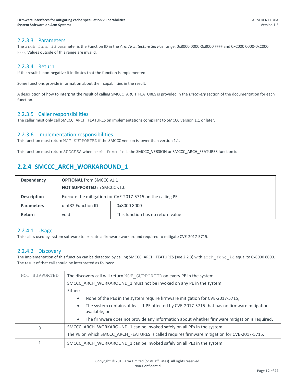#### 2.2.3.3 Parameters

The arch func id parameter is the Function ID in the *Arm Architecture Service* range: 0x8000 0000-0x8000 FFFF and 0xC000 0000-0xC000 FFFF. Values outside of this range are invalid.

#### 2.2.3.4 Return

If the result is non-negative it indicates that the function is implemented.

Some functions provide information about their capabilities in the result.

A description of how to interpret the result of calling SMCCC\_ARCH\_FEATURES is provided in the *Discovery* section of the documentation for each function.

#### 2.2.3.5 Caller responsibilities

The caller must only call SMCCC\_ARCH\_FEATURES on implementations compliant to SMCCC version 1.1 or later.

#### 2.2.3.6 Implementation responsibilities

This function must return NOT SUPPORTED if the SMCCC version is lower than version 1.1.

This function must return SUCCESS when arch\_func\_id is the SMCCC\_VERSION or SMCCC\_ARCH\_FEATURES function id.

## <span id="page-11-0"></span>**2.2.4 SMCCC\_ARCH\_WORKAROUND\_1**

| <b>Dependency</b>  | <b>OPTIONAL</b> from SMCCC v1.1                            |                                   |  |
|--------------------|------------------------------------------------------------|-----------------------------------|--|
|                    | <b>NOT SUPPORTED in SMCCC v1.0</b>                         |                                   |  |
| <b>Description</b> | Execute the mitigation for CVE-2017-5715 on the calling PE |                                   |  |
| <b>Parameters</b>  | uint32 Function ID                                         | 0x8000 8000                       |  |
| <b>Return</b>      | void                                                       | This function has no return value |  |

#### 2.2.4.1 Usage

This call is used by system software to execute a firmware workaround required to mitigate CVE-2017-5715.

#### 2.2.4.2 Discovery

The implementation of this function can be detected by calling SMCCC\_ARCH\_FEATURES (se[e 2.2.3\)](#page-10-0) with arch func id equal to 0x8000 8000. The result of that call should be interpreted as follows:

| NOT SUPPORTED | The discovery call will return NOT SUPPORTED on every PE in the system.                                                   |  |  |
|---------------|---------------------------------------------------------------------------------------------------------------------------|--|--|
|               | SMCCC ARCH WORKAROUND 1 must not be invoked on any PE in the system.                                                      |  |  |
|               | Either:                                                                                                                   |  |  |
|               | None of the PEs in the system require firmware mitigation for CVE-2017-5715,<br>$\bullet$                                 |  |  |
|               | The system contains at least 1 PE affected by CVE-2017-5715 that has no firmware mitigation<br>$\bullet$<br>available, or |  |  |
|               | The firmware does not provide any information about whether firmware mitigation is required.<br>$\bullet$                 |  |  |
| 0             | SMCCC ARCH WORKAROUND 1 can be invoked safely on all PEs in the system.                                                   |  |  |
|               | The PE on which SMCCC ARCH FEATURES is called requires firmware mitigation for CVE-2017-5715.                             |  |  |
|               | SMCCC ARCH WORKAROUND 1 can be invoked safely on all PEs in the system.                                                   |  |  |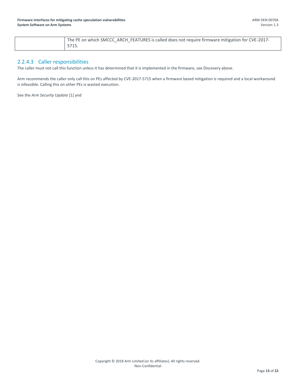| The PE on which SMCCC ARCH FEATURES is called does not require firmware mitigation for CVE-2017- |
|--------------------------------------------------------------------------------------------------|
| 5715.                                                                                            |

#### 2.2.4.3 Caller responsibilities

The caller must not call this function unless it has determined that it is implemented in the firmware, see Discovery above.

Arm recommends the caller only call this on PEs affected by CVE-2017-5715 when a firmware based mitigation is required and a local workaround is infeasible. Calling this on other PEs is wasted execution.

See the *Arm Security Update* [1] an[d](#page-19-0)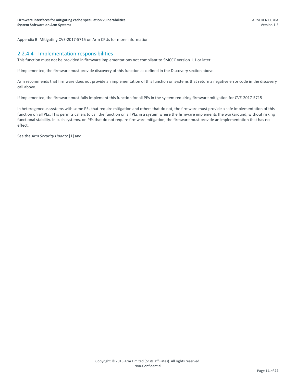[Appendix B: Mitigating CVE-2017-5715 on Arm CPUs](#page-19-0) for more information.

#### 2.2.4.4 Implementation responsibilities

This function must not be provided in firmware implementations not compliant to SMCCC version 1.1 or later.

If implemented, the firmware must provide discovery of this function as defined in the Discovery section above.

Arm recommends that firmware does not provide an implementation of this function on systems that return a negative error code in the discovery call above.

If implemented, the firmware must fully implement this function for all PEs in the system requiring firmware mitigation for CVE-2017-5715

In heterogeneous systems with some PEs that require mitigation and others that do not, the firmware must provide a safe implementation of this function on all PEs. This permits callers to call the function on all PEs in a system where the firmware implements the workaround, without risking functional stability. In such systems, on PEs that do not require firmware mitigation, the firmware must provide an implementation that has no effect.

See the *Arm Security Update* [1] an[d](#page-19-0)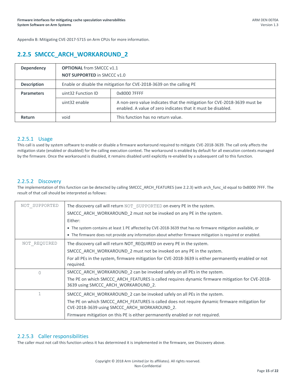[Appendix B: Mitigating CVE-2017-5715 on Arm CPUs](#page-19-0) for more information.

## <span id="page-14-0"></span>**2.2.5 SMCCC\_ARCH\_WORKAROUND\_2**

| <b>Dependency</b>  | <b>OPTIONAL from SMCCC v1.1</b><br><b>NOT SUPPORTED in SMCCC v1.0</b> |                                                                                                                                          |  |
|--------------------|-----------------------------------------------------------------------|------------------------------------------------------------------------------------------------------------------------------------------|--|
| <b>Description</b> | Enable or disable the mitigation for CVE-2018-3639 on the calling PE  |                                                                                                                                          |  |
| <b>Parameters</b>  | uint32 Function ID                                                    | 0x8000 7FFFF                                                                                                                             |  |
|                    | uint32 enable                                                         | A non-zero value indicates that the mitigation for CVE-2018-3639 must be<br>enabled. A value of zero indicates that it must be disabled. |  |
| Return             | void                                                                  | This function has no return value.                                                                                                       |  |

#### 2.2.5.1 Usage

This call is used by system software to enable or disable a firmware workaround required to mitigate CVE-2018-3639. The call only affects the mitigation state (enabled or disabled) for the calling execution context. The workaround is enabled by default for all execution contexts managed by the firmware. Once the workaround is disabled, it remains disabled until explicitly re-enabled by a subsequent call to this function.

#### 2.2.5.2 Discovery

The implementation of this function can be detected by calling SMCCC\_ARCH\_FEATURES (se[e 2.2.3\)](#page-10-0) with arch\_func\_id equal to 0x8000 7FFF. The result of that call should be interpreted as follows:

| NOT SUPPORTED | The discovery call will return NOT SUPPORTED on every PE in the system.<br>SMCCC_ARCH_WORKAROUND_2 must not be invoked on any PE in the system.<br>Either:                                                                                                                                                 |
|---------------|------------------------------------------------------------------------------------------------------------------------------------------------------------------------------------------------------------------------------------------------------------------------------------------------------------|
|               | • The system contains at least 1 PE affected by CVE-2018-3639 that has no firmware mitigation available, or<br>• The firmware does not provide any information about whether firmware mitigation is required or enabled.                                                                                   |
| NOT REQUIRED  | The discovery call will return NOT_REQUIRED on every PE in the system.<br>SMCCC ARCH WORKAROUND 2 must not be invoked on any PE in the system.<br>For all PEs in the system, firmware mitigation for CVE-2018-3639 is either permanently enabled or not<br>required.                                       |
| $\Omega$      | SMCCC_ARCH_WORKAROUND_2 can be invoked safely on all PEs in the system.<br>The PE on which SMCCC ARCH FEATURES is called requires dynamic firmware mitigation for CVE-2018-<br>3639 using SMCCC ARCH WORKAROUND 2.                                                                                         |
|               | SMCCC_ARCH_WORKAROUND_2 can be invoked safely on all PEs in the system.<br>The PE on which SMCCC ARCH FEATURES is called does not require dynamic firmware mitigation for<br>CVE-2018-3639 using SMCCC ARCH WORKAROUND 2.<br>Firmware mitigation on this PE is either permanently enabled or not required. |

#### 2.2.5.3 Caller responsibilities

The caller must not call this function unless it has determined it is implemented in the firmware, see Discovery above.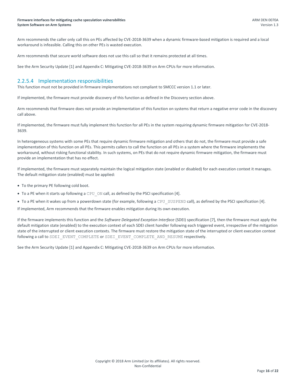Arm recommends the caller only call this on PEs affected by CVE-2018-3639 when a dynamic firmware-based mitigation is required and a local workaround is infeasible. Calling this on other PEs is wasted execution.

Arm recommends that secure world software does not use this call so that it remains protected at all times.

See the Arm Security Update [1] an[d Appendix C: Mitigating CVE-2018-3639](#page-21-0) on Arm CPUs for more information.

#### 2.2.5.4 Implementation responsibilities

This function must not be provided in firmware implementations not compliant to SMCCC version 1.1 or later.

If implemented, the firmware must provide discovery of this function as defined in the Discovery section above.

Arm recommends that firmware does not provide an implementation of this function on systems that return a negative error code in the discovery call above.

If implemented, the firmware must fully implement this function for all PEs in the system requiring dynamic firmware mitigation for CVE-2018- 3639.

In heterogeneous systems with some PEs that require dynamic firmware mitigation and others that do not, the firmware must provide a safe implementation of this function on all PEs. This permits callers to call the function on all PEs in a system where the firmware implements the workaround, without risking functional stability. In such systems, on PEs that do not require dynamic firmware mitigation, the firmware must provide an implementation that has no effect.

If implemented, the firmware must separately maintain the logical mitigation state (enabled or disabled) for each execution context it manages. The default mitigation state (enabled) must be applied:

- To the primary PE following cold boot.
- To a PE when it starts up following a CPU ON call, as defined by the PSCI specification [4].
- To a PE when it wakes up from a powerdown state (for example, following a CPU SUSPEND call), as defined by the PSCI specification [4].

If implemented, Arm recommends that the firmware enables mitigation during its own execution.

If the firmware implements this function and the *Software Delegated Exception Interface* (SDEI) specification [7], then the firmware must apply the default mitigation state (enabled) to the execution context of each SDEI client handler following each triggered event, irrespective of the mitigation state of the interrupted or client execution contexts. The firmware must restore the mitigation state of the interrupted or client execution context following a call to SDEI\_EVENT\_COMPLETE or SDEI\_EVENT\_COMPLETE\_AND\_RESUME respectively.

See the Arm Security Update [1] an[d Appendix C: Mitigating CVE-2018-3639](#page-21-0) on Arm CPUs for more information.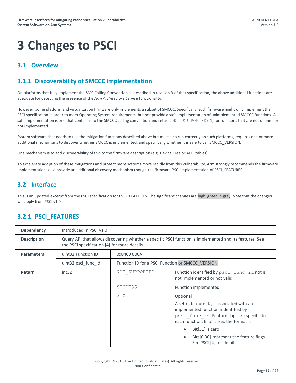# <span id="page-16-0"></span>**3 Changes to PSCI**

## <span id="page-16-1"></span>**3.1 Overview**

## <span id="page-16-2"></span>**3.1.1 Discoverability of SMCCC implementation**

On platforms that fully implement the SMC Calling Convention as described in revision B of that specification, the above additional functions are adequate for detecting the presence of the *Arm Architecture Service* functionality.

However, some platform and virtualization firmware only implements a subset of SMCCC. Specifically, such firmware might only implement the PSCI specification in order to meet Operating System requirements, but not provide a safe implementation of unimplemented SMCCC functions. A safe implementation is one that conforms to the SMCCC calling convention and returns NOT SUPPORTED (-1) for functions that are not defined or not implemented.

System software that needs to use the mitigation functions described above but must also run correctly on such platforms, requires one or more additional mechanisms to discover whether SMCCC is implemented, and specifically whether it is safe to call SMCCC\_VERSION.

One mechanism is to add discoverability of this to the firmware description (e.g. Device Tree or ACPI tables).

To accelerate adoption of these mitigations and protect more systems more rapidly from this vulnerability, Arm strongly recommends the firmware implementations also provide an additional discovery mechanism though the firmware PSCI implementation of PSCI\_FEATURES.

## <span id="page-16-3"></span>**3.2 Interface**

This is an updated excerpt from the PSCI specification for PSCI\_FEATURES. The significant changes are highlighted in gray. Note that the changes will apply from PSCI v1.0.

## <span id="page-16-4"></span>**3.2.1 PSCI\_FEATURES**

| <b>Dependency</b>  | Introduced in PSCI v1.0                                                                                                                                 |                                                  |                                                                                                                                                                                                                                                                                      |
|--------------------|---------------------------------------------------------------------------------------------------------------------------------------------------------|--------------------------------------------------|--------------------------------------------------------------------------------------------------------------------------------------------------------------------------------------------------------------------------------------------------------------------------------------|
| <b>Description</b> | Query API that allows discovering whether a specific PSCI function is implemented and its features. See<br>the PSCI specification [4] for more details. |                                                  |                                                                                                                                                                                                                                                                                      |
| <b>Parameters</b>  | uint32 Function ID                                                                                                                                      | 0x8400 000A                                      |                                                                                                                                                                                                                                                                                      |
|                    | uint32 psci_func_id                                                                                                                                     | Function ID for a PSCI Function or SMCCC VERSION |                                                                                                                                                                                                                                                                                      |
| <b>Return</b>      | int32                                                                                                                                                   | NOT SUPPORTED                                    | Function identified by psci func id not is<br>not implemented or not valid                                                                                                                                                                                                           |
|                    |                                                                                                                                                         | <b>SUCCESS</b>                                   | Function implemented                                                                                                                                                                                                                                                                 |
|                    |                                                                                                                                                         | > 0                                              | Optional<br>A set of feature flags associated with an<br>implemented function indentified by<br>psci func id. Feature flags are specific to<br>each function. In all cases the format is:<br>Bit[31] is zero<br>Bits[0:30] represent the feature flags.<br>See PSCI [4] for details. |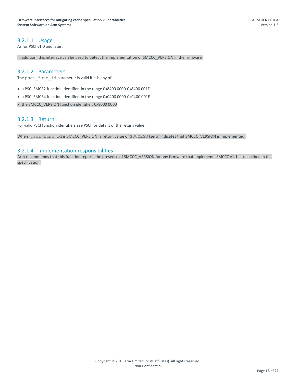#### 3.2.1.1 Usage

As for PSCI v1.0 and later.

In addition, this interface can be used to detect the implementation of SMCCC\_VERSION in the firmware.

#### 3.2.1.2 Parameters

The psci func id parameter is valid if it is any of:

- a PSCI SMC32 function identifier, in the range 0x8400 0000-0x8400 001F
- a PSCI SMC64 function identifier, in the range 0xC400 0000-0xC400 001F

• the SMCCC\_VERSION function identifier, 0x8000 0000

#### 3.2.1.3 Return

For valid PSCI function identifiers see PSCI for details of the return value.

When psci func id is SMCCC\_VERSION, a return value of SUCCESS (zero) indicates that SMCCC\_VERSION is implemented.

#### 3.2.1.4 Implementation responsibilities

Arm recommends that this function reports the presence of SMCCC\_VERSION for any firmware that implements SMCCC v1.1 as described in this specification.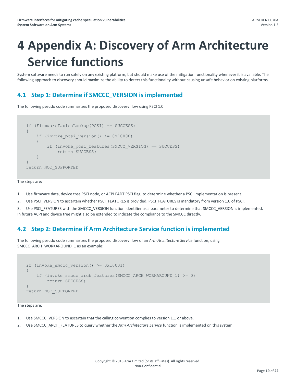## <span id="page-18-0"></span>**4 Appendix A: Discovery of Arm Architecture Service functions**

System software needs to run safely on any existing platform, but should make use of the mitigation functionality whenever it is available. The following approach to discovery should maximize the ability to detect this functionality without causing unsafe behavior on existing platforms.

## <span id="page-18-1"></span>**4.1 Step 1: Determine if SMCCC\_VERSION is implemented**

The following pseudo code summarizes the proposed discovery flow using PSCI 1.0:

```
if (FirmwareTablesLookup(PCSI) == SUCCESS)
{
    if (invoke pcsi version() >= 0x10000)
     {
         if (invoke_pcsi_features(SMCCC_VERSION) == SUCCESS)
             return SUCCESS;
     }
}
return NOT_SUPPORTED
```
The steps are:

- 1. Use firmware data, device tree PSCI node, or ACPI FADT PSCI flag, to determine whether a PSCI implementation is present.
- 2. Use PSCI\_VERSION to ascertain whether PSCI\_FEATURES is provided. PSCI\_FEATURES is mandatory from version 1.0 of PSCI.

3. Use PSCI\_FEATURES with the SMCCC\_VERSION function identifier as a parameter to determine that SMCCC\_VERSION is implemented. In future ACPI and device tree might also be extended to indicate the compliance to the SMCCC directly.

## <span id="page-18-2"></span>**4.2 Step 2: Determine if Arm Architecture Service function is implemented**

The following pseudo code summarizes the proposed discovery flow of an *Arm Architecture Service* function, using SMCCC\_ARCH\_WORKAROUND\_1 as an example:

```
if (invoke smccc version() >= 0x10001)
{
    if (invoke smccc arch features(SMCCC ARCH WORKAROUND 1) >= 0)
         return SUCCESS;
}
return NOT_SUPPORTED
```
The steps are:

- 1. Use SMCCC VERSION to ascertain that the calling convention complies to version 1.1 or above.
- 2. Use SMCCC\_ARCH\_FEATURES to query whether the *Arm Architecture Service* function is implemented on this system.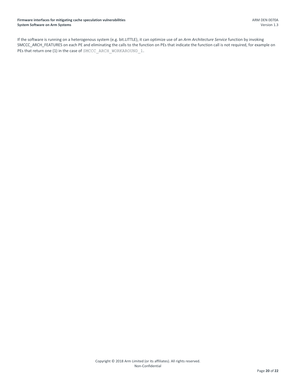<span id="page-19-0"></span>If the software is running on a heterogenous system (e.g. bit.LITTLE), it can optimize use of an *Arm Architecture Service* function by invoking SMCCC\_ARCH\_FEATURES on each PE and eliminating the calls to the function on PEs that indicate the function call is not required, for example on PEs that return one (1) in the case of SMCCC\_ARCH\_WORKAROUND\_1.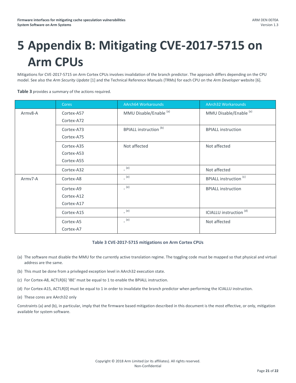# <span id="page-20-0"></span>**5 Appendix B: Mitigating CVE-2017-5715 on Arm CPUs**

Mitigations for CVE-2017-5715 on Arm Cortex CPUs involves invalidation of the branch predictor. The approach differs depending on the CPU model. See also the *Arm Security Update* [1] and the Technical Reference Manuals (TRMs) for each CPU on the *Arm Developer* website [6].

**[Table 3](#page-20-1)** provides a summary of the actions required.

|         | <b>Cores</b>                           | AArch64 Workarounds               | <b>AArch32 Workarounds</b>         |
|---------|----------------------------------------|-----------------------------------|------------------------------------|
| Armv8-A | Cortex-A57<br>Cortex-A72               | MMU Disable/Enable <sup>(a)</sup> | MMU Disable/Enable <sup>(a)</sup>  |
|         | Cortex-A73<br>Cortex-A75               | <b>BPIALL instruction (b)</b>     | <b>BPIALL instruction</b>          |
|         | Cortex-A35<br>Cortex-A53<br>Cortex-A55 | Not affected                      | Not affected                       |
|         | Cortex-A32                             | (e)                               | Not affected                       |
| Army7-A | Cortex-A8                              | (e)                               | <b>BPIALL instruction (c)</b>      |
|         | Cortex-A9<br>Cortex-A12<br>Cortex-A17  | (e)                               | <b>BPIALL instruction</b>          |
|         | Cortex-A15                             | (e)                               | ICIALLU instruction <sup>(d)</sup> |
|         | Cortex-A5<br>Cortex-A7                 | (e)                               | Not affected                       |

#### **Table 3 CVE-2017-5715 mitigations on Arm Cortex CPUs**

- <span id="page-20-2"></span><span id="page-20-1"></span>(a) The software must disable the MMU for the currently active translation regime. The toggling code must be mapped so that physical and virtual address are the same.
- <span id="page-20-3"></span>(b) This must be done from a privileged exception level in AArch32 execution state.
- <span id="page-20-5"></span>(c) For Cortex-A8, ACTLR[6] 'IBE' must be equal to 1 to enable the BPIALL instruction.
- <span id="page-20-6"></span>(d) For Cortex-A15, ACTLR[0] must be equal to 1 in order to invalidate the branch predictor when performing the ICIALLU instruction.
- <span id="page-20-4"></span>(e) These cores are AArch32 only

Constraints (a) and (b), in particular, imply that the firmware based mitigation described in this document is the most effective, or only, mitigation available for system software.